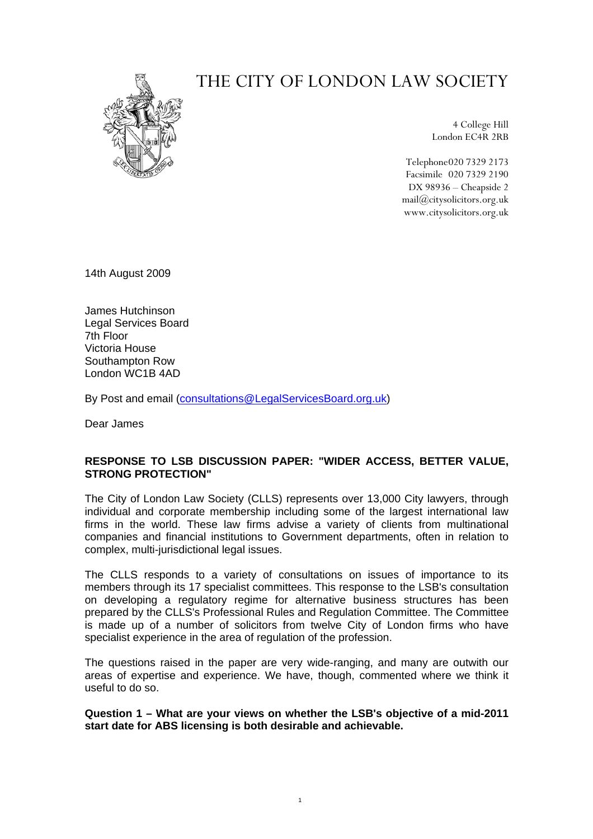# THE CITY OF LONDON LAW SOCIETY



4 College Hill London EC4R 2RB

Telephone 020 7329 2173 Facsimile 020 7329 2190 DX 98936 – Cheapside 2 mail@citysolicitors.org.uk www.citysolicitors.org.uk

14th August 2009

James Hutchinson Legal Services Board 7th Floor Victoria House Southampton Row London WC1B 4AD

By Post and email [\(consultations@LegalServicesBoard.org.uk](mailto:consultations@LegalServicesBoard.org.uk))

Dear James

# **RESPONSE TO LSB DISCUSSION PAPER: "WIDER ACCESS, BETTER VALUE, STRONG PROTECTION"**

The City of London Law Society (CLLS) represents over 13,000 City lawyers, through individual and corporate membership including some of the largest international law firms in the world. These law firms advise a variety of clients from multinational companies and financial institutions to Government departments, often in relation to complex, multi-jurisdictional legal issues.

The CLLS responds to a variety of consultations on issues of importance to its members through its 17 specialist committees. This response to the LSB's consultation on developing a regulatory regime for alternative business structures has been prepared by the CLLS's Professional Rules and Regulation Committee. The Committee is made up of a number of solicitors from twelve City of London firms who have specialist experience in the area of regulation of the profession.

The questions raised in the paper are very wide-ranging, and many are outwith our areas of expertise and experience. We have, though, commented where we think it useful to do so.

**Question 1 – What are your views on whether the LSB's objective of a mid-2011 start date for ABS licensing is both desirable and achievable.**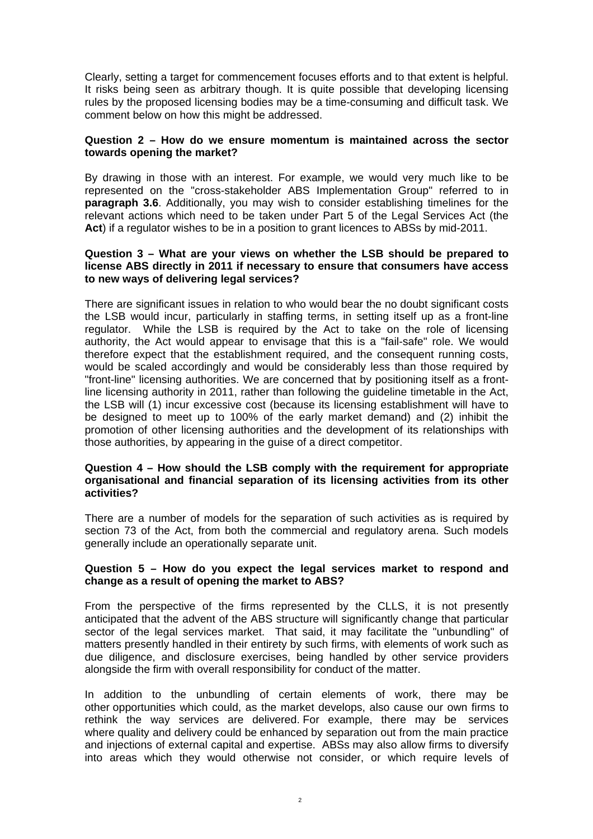Clearly, setting a target for commencement focuses efforts and to that extent is helpful. It risks being seen as arbitrary though. It is quite possible that developing licensing rules by the proposed licensing bodies may be a time-consuming and difficult task. We comment below on how this might be addressed.

## **Question 2 – How do we ensure momentum is maintained across the sector towards opening the market?**

By drawing in those with an interest. For example, we would very much like to be represented on the "cross-stakeholder ABS Implementation Group" referred to in **paragraph 3.6**. Additionally, you may wish to consider establishing timelines for the relevant actions which need to be taken under Part 5 of the Legal Services Act (the Act) if a regulator wishes to be in a position to grant licences to ABSs by mid-2011.

#### **Question 3 – What are your views on whether the LSB should be prepared to license ABS directly in 2011 if necessary to ensure that consumers have access to new ways of delivering legal services?**

There are significant issues in relation to who would bear the no doubt significant costs the LSB would incur, particularly in staffing terms, in setting itself up as a front-line regulator. While the LSB is required by the Act to take on the role of licensing authority, the Act would appear to envisage that this is a "fail-safe" role. We would therefore expect that the establishment required, and the consequent running costs, would be scaled accordingly and would be considerably less than those required by "front-line" licensing authorities. We are concerned that by positioning itself as a frontline licensing authority in 2011, rather than following the guideline timetable in the Act, the LSB will (1) incur excessive cost (because its licensing establishment will have to be designed to meet up to 100% of the early market demand) and (2) inhibit the promotion of other licensing authorities and the development of its relationships with those authorities, by appearing in the guise of a direct competitor.

#### **Question 4 – How should the LSB comply with the requirement for appropriate organisational and financial separation of its licensing activities from its other activities?**

There are a number of models for the separation of such activities as is required by section 73 of the Act, from both the commercial and regulatory arena. Such models generally include an operationally separate unit.

## **Question 5 – How do you expect the legal services market to respond and change as a result of opening the market to ABS?**

From the perspective of the firms represented by the CLLS, it is not presently anticipated that the advent of the ABS structure will significantly change that particular sector of the legal services market. That said, it may facilitate the "unbundling" of matters presently handled in their entirety by such firms, with elements of work such as due diligence, and disclosure exercises, being handled by other service providers alongside the firm with overall responsibility for conduct of the matter.

In addition to the unbundling of certain elements of work, there may be other opportunities which could, as the market develops, also cause our own firms to rethink the way services are delivered. For example, there may be services where quality and delivery could be enhanced by separation out from the main practice and injections of external capital and expertise. ABSs may also allow firms to diversify into areas which they would otherwise not consider, or which require levels of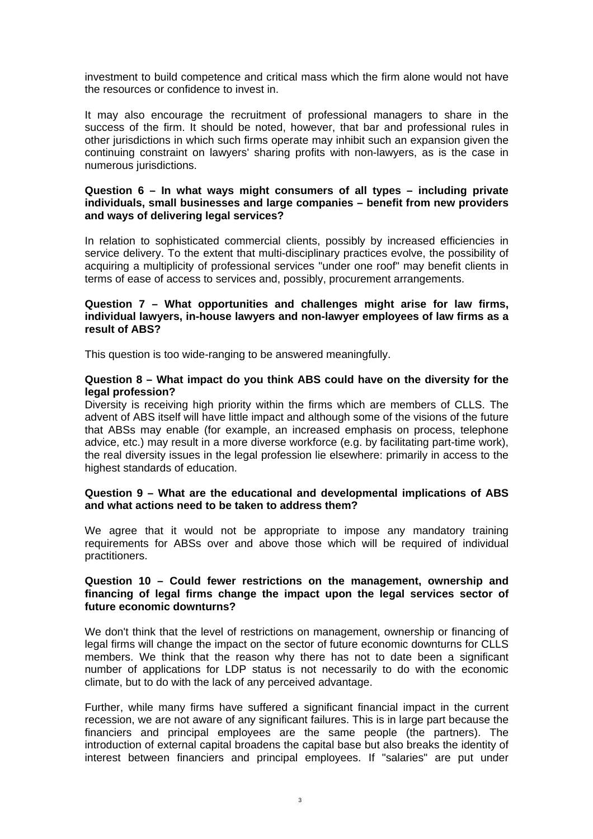investment to build competence and critical mass which the firm alone would not have the resources or confidence to invest in.

It may also encourage the recruitment of professional managers to share in the success of the firm. It should be noted, however, that bar and professional rules in other jurisdictions in which such firms operate may inhibit such an expansion given the continuing constraint on lawyers' sharing profits with non-lawyers, as is the case in numerous jurisdictions.

## **Question 6 – In what ways might consumers of all types – including private individuals, small businesses and large companies – benefit from new providers and ways of delivering legal services?**

In relation to sophisticated commercial clients, possibly by increased efficiencies in service delivery. To the extent that multi-disciplinary practices evolve, the possibility of acquiring a multiplicity of professional services "under one roof" may benefit clients in terms of ease of access to services and, possibly, procurement arrangements.

## **Question 7 – What opportunities and challenges might arise for law firms, individual lawyers, in-house lawyers and non-lawyer employees of law firms as a result of ABS?**

This question is too wide-ranging to be answered meaningfully.

## **Question 8 – What impact do you think ABS could have on the diversity for the legal profession?**

Diversity is receiving high priority within the firms which are members of CLLS. The advent of ABS itself will have little impact and although some of the visions of the future that ABSs may enable (for example, an increased emphasis on process, telephone advice, etc.) may result in a more diverse workforce (e.g. by facilitating part-time work), the real diversity issues in the legal profession lie elsewhere: primarily in access to the highest standards of education.

# **Question 9 – What are the educational and developmental implications of ABS and what actions need to be taken to address them?**

We agree that it would not be appropriate to impose any mandatory training requirements for ABSs over and above those which will be required of individual practitioners.

# **Question 10 – Could fewer restrictions on the management, ownership and financing of legal firms change the impact upon the legal services sector of future economic downturns?**

We don't think that the level of restrictions on management, ownership or financing of legal firms will change the impact on the sector of future economic downturns for CLLS members. We think that the reason why there has not to date been a significant number of applications for LDP status is not necessarily to do with the economic climate, but to do with the lack of any perceived advantage.

Further, while many firms have suffered a significant financial impact in the current recession, we are not aware of any significant failures. This is in large part because the financiers and principal employees are the same people (the partners). The introduction of external capital broadens the capital base but also breaks the identity of interest between financiers and principal employees. If "salaries" are put under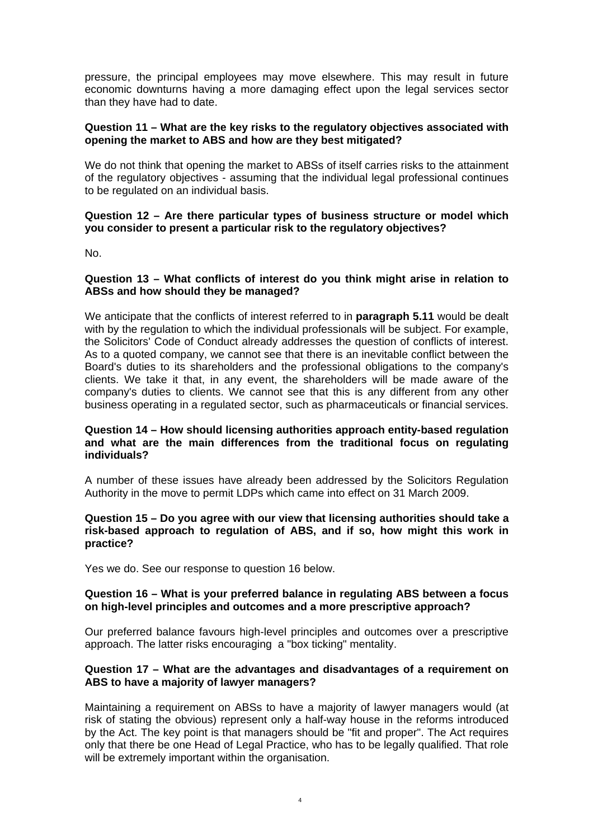pressure, the principal employees may move elsewhere. This may result in future economic downturns having a more damaging effect upon the legal services sector than they have had to date.

## **Question 11 – What are the key risks to the regulatory objectives associated with opening the market to ABS and how are they best mitigated?**

We do not think that opening the market to ABSs of itself carries risks to the attainment of the regulatory objectives - assuming that the individual legal professional continues to be regulated on an individual basis.

# **Question 12 – Are there particular types of business structure or model which you consider to present a particular risk to the regulatory objectives?**

No.

# **Question 13 – What conflicts of interest do you think might arise in relation to ABSs and how should they be managed?**

We anticipate that the conflicts of interest referred to in **paragraph 5.11** would be dealt with by the regulation to which the individual professionals will be subject. For example, the Solicitors' Code of Conduct already addresses the question of conflicts of interest. As to a quoted company, we cannot see that there is an inevitable conflict between the Board's duties to its shareholders and the professional obligations to the company's clients. We take it that, in any event, the shareholders will be made aware of the company's duties to clients. We cannot see that this is any different from any other business operating in a regulated sector, such as pharmaceuticals or financial services.

#### **Question 14 – How should licensing authorities approach entity-based regulation and what are the main differences from the traditional focus on regulating individuals?**

A number of these issues have already been addressed by the Solicitors Regulation Authority in the move to permit LDPs which came into effect on 31 March 2009.

#### **Question 15 – Do you agree with our view that licensing authorities should take a risk-based approach to regulation of ABS, and if so, how might this work in practice?**

Yes we do. See our response to question 16 below.

# **Question 16 – What is your preferred balance in regulating ABS between a focus on high-level principles and outcomes and a more prescriptive approach?**

Our preferred balance favours high-level principles and outcomes over a prescriptive approach. The latter risks encouraging a "box ticking" mentality.

## **Question 17 – What are the advantages and disadvantages of a requirement on ABS to have a majority of lawyer managers?**

Maintaining a requirement on ABSs to have a majority of lawyer managers would (at risk of stating the obvious) represent only a half-way house in the reforms introduced by the Act. The key point is that managers should be "fit and proper". The Act requires only that there be one Head of Legal Practice, who has to be legally qualified. That role will be extremely important within the organisation.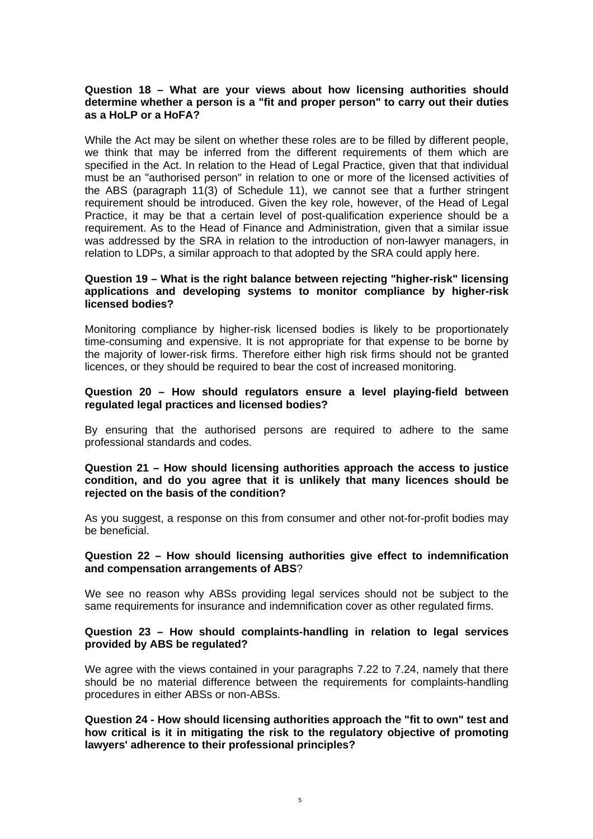## **Question 18 – What are your views about how licensing authorities should determine whether a person is a "fit and proper person" to carry out their duties as a HoLP or a HoFA?**

While the Act may be silent on whether these roles are to be filled by different people, we think that may be inferred from the different requirements of them which are specified in the Act. In relation to the Head of Legal Practice, given that that individual must be an "authorised person" in relation to one or more of the licensed activities of the ABS (paragraph 11(3) of Schedule 11), we cannot see that a further stringent requirement should be introduced. Given the key role, however, of the Head of Legal Practice, it may be that a certain level of post-qualification experience should be a requirement. As to the Head of Finance and Administration, given that a similar issue was addressed by the SRA in relation to the introduction of non-lawyer managers, in relation to LDPs, a similar approach to that adopted by the SRA could apply here.

# **Question 19 – What is the right balance between rejecting "higher-risk" licensing applications and developing systems to monitor compliance by higher-risk licensed bodies?**

Monitoring compliance by higher-risk licensed bodies is likely to be proportionately time-consuming and expensive. It is not appropriate for that expense to be borne by the majority of lower-risk firms. Therefore either high risk firms should not be granted licences, or they should be required to bear the cost of increased monitoring.

## **Question 20 – How should regulators ensure a level playing-field between regulated legal practices and licensed bodies?**

By ensuring that the authorised persons are required to adhere to the same professional standards and codes.

#### **Question 21 – How should licensing authorities approach the access to justice condition, and do you agree that it is unlikely that many licences should be rejected on the basis of the condition?**

As you suggest, a response on this from consumer and other not-for-profit bodies may be beneficial.

#### **Question 22 – How should licensing authorities give effect to indemnification and compensation arrangements of ABS**?

We see no reason why ABSs providing legal services should not be subject to the same requirements for insurance and indemnification cover as other regulated firms.

#### **Question 23 – How should complaints-handling in relation to legal services provided by ABS be regulated?**

We agree with the views contained in your paragraphs 7.22 to 7.24, namely that there should be no material difference between the requirements for complaints-handling procedures in either ABSs or non-ABSs.

**Question 24 - How should licensing authorities approach the "fit to own" test and how critical is it in mitigating the risk to the regulatory objective of promoting lawyers' adherence to their professional principles?**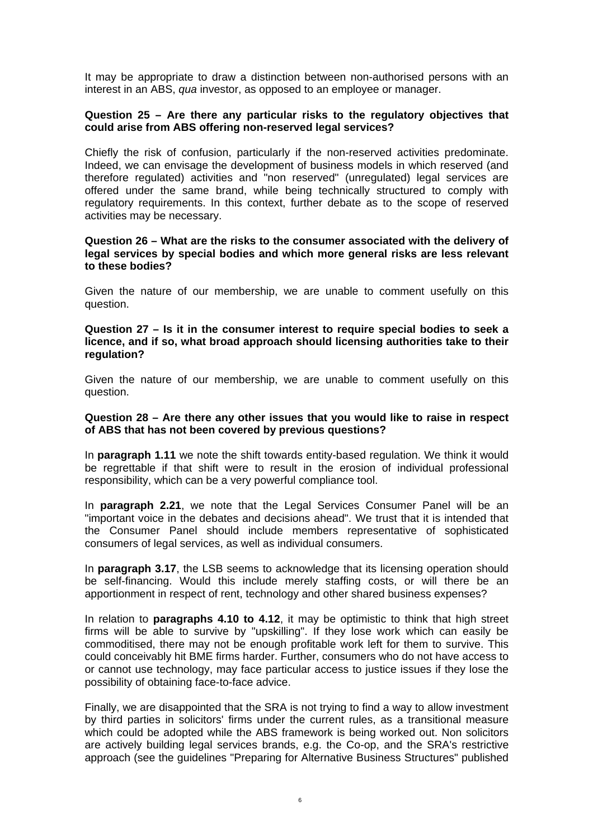It may be appropriate to draw a distinction between non-authorised persons with an interest in an ABS, *qua* investor, as opposed to an employee or manager.

## **Question 25 – Are there any particular risks to the regulatory objectives that could arise from ABS offering non-reserved legal services?**

Chiefly the risk of confusion, particularly if the non-reserved activities predominate. Indeed, we can envisage the development of business models in which reserved (and therefore regulated) activities and "non reserved" (unregulated) legal services are offered under the same brand, while being technically structured to comply with regulatory requirements. In this context, further debate as to the scope of reserved activities may be necessary.

#### **Question 26 – What are the risks to the consumer associated with the delivery of legal services by special bodies and which more general risks are less relevant to these bodies?**

Given the nature of our membership, we are unable to comment usefully on this question.

#### **Question 27 – Is it in the consumer interest to require special bodies to seek a licence, and if so, what broad approach should licensing authorities take to their regulation?**

Given the nature of our membership, we are unable to comment usefully on this question.

#### **Question 28 – Are there any other issues that you would like to raise in respect of ABS that has not been covered by previous questions?**

In **paragraph 1.11** we note the shift towards entity-based regulation. We think it would be regrettable if that shift were to result in the erosion of individual professional responsibility, which can be a very powerful compliance tool.

In **paragraph 2.21**, we note that the Legal Services Consumer Panel will be an "important voice in the debates and decisions ahead". We trust that it is intended that the Consumer Panel should include members representative of sophisticated consumers of legal services, as well as individual consumers.

In **paragraph 3.17**, the LSB seems to acknowledge that its licensing operation should be self-financing. Would this include merely staffing costs, or will there be an apportionment in respect of rent, technology and other shared business expenses?

In relation to **paragraphs 4.10 to 4.12**, it may be optimistic to think that high street firms will be able to survive by "upskilling". If they lose work which can easily be commoditised, there may not be enough profitable work left for them to survive. This could conceivably hit BME firms harder. Further, consumers who do not have access to or cannot use technology, may face particular access to justice issues if they lose the possibility of obtaining face-to-face advice.

Finally, we are disappointed that the SRA is not trying to find a way to allow investment by third parties in solicitors' firms under the current rules, as a transitional measure which could be adopted while the ABS framework is being worked out. Non solicitors are actively building legal services brands, e.g. the Co-op, and the SRA's restrictive approach (see the guidelines "Preparing for Alternative Business Structures" published